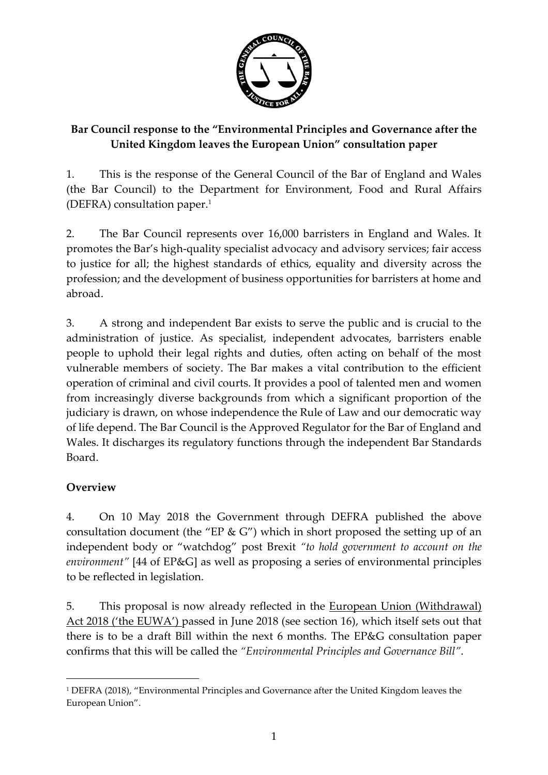

## **Bar Council response to the "Environmental Principles and Governance after the United Kingdom leaves the European Union" consultation paper**

1. This is the response of the General Council of the Bar of England and Wales (the Bar Council) to the Department for Environment, Food and Rural Affairs (DEFRA) consultation paper.<sup>1</sup>

2. The Bar Council represents over 16,000 barristers in England and Wales. It promotes the Bar's high-quality specialist advocacy and advisory services; fair access to justice for all; the highest standards of ethics, equality and diversity across the profession; and the development of business opportunities for barristers at home and abroad.

3. A strong and independent Bar exists to serve the public and is crucial to the administration of justice. As specialist, independent advocates, barristers enable people to uphold their legal rights and duties, often acting on behalf of the most vulnerable members of society. The Bar makes a vital contribution to the efficient operation of criminal and civil courts. It provides a pool of talented men and women from increasingly diverse backgrounds from which a significant proportion of the judiciary is drawn, on whose independence the Rule of Law and our democratic way of life depend. The Bar Council is the Approved Regulator for the Bar of England and Wales. It discharges its regulatory functions through the independent Bar Standards Board.

## **Overview**

4. On 10 May 2018 the Government through DEFRA published the above consultation document (the "EP & G") which in short proposed the setting up of an independent body or "watchdog" post Brexit *"to hold government to account on the environment"* [44 of EP&G] as well as proposing a series of environmental principles to be reflected in legislation.

5. This proposal is now already reflected in the <u>European Union (Withdrawal)</u> Act 2018 ('the EUWA') passed in June 2018 (see section 16), which itself sets out that there is to be a draft Bill within the next 6 months. The EP&G consultation paper confirms that this will be called the *"Environmental Principles and Governance Bill"*.

 $\overline{a}$ <sup>1</sup> DEFRA (2018), "Environmental Principles and Governance after the United Kingdom leaves the European Union".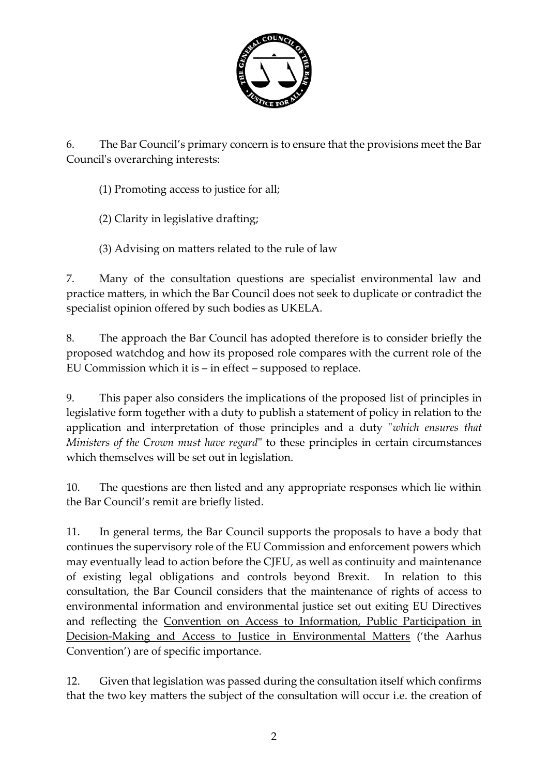

6. The Bar Council's primary concern is to ensure that the provisions meet the Bar Council's overarching interests:

(1) Promoting access to justice for all;

(2) Clarity in legislative drafting;

(3) Advising on matters related to the rule of law

7. Many of the consultation questions are specialist environmental law and practice matters, in which the Bar Council does not seek to duplicate or contradict the specialist opinion offered by such bodies as UKELA.

8. The approach the Bar Council has adopted therefore is to consider briefly the proposed watchdog and how its proposed role compares with the current role of the EU Commission which it is – in effect – supposed to replace.

9. This paper also considers the implications of the proposed list of principles in legislative form together with a duty to publish a statement of policy in relation to the application and interpretation of those principles and a duty "*which ensures that Ministers of the Crown must have regard*" to these principles in certain circumstances which themselves will be set out in legislation.

10. The questions are then listed and any appropriate responses which lie within the Bar Council's remit are briefly listed.

11. In general terms, the Bar Council supports the proposals to have a body that continues the supervisory role of the EU Commission and enforcement powers which may eventually lead to action before the CJEU, as well as continuity and maintenance of existing legal obligations and controls beyond Brexit. In relation to this consultation, the Bar Council considers that the maintenance of rights of access to environmental information and environmental justice set out exiting EU Directives and reflecting the Convention on Access to Information, Public Participation in Decision-Making and Access to Justice in Environmental Matters ('the Aarhus Convention') are of specific importance.

12. Given that legislation was passed during the consultation itself which confirms that the two key matters the subject of the consultation will occur i.e. the creation of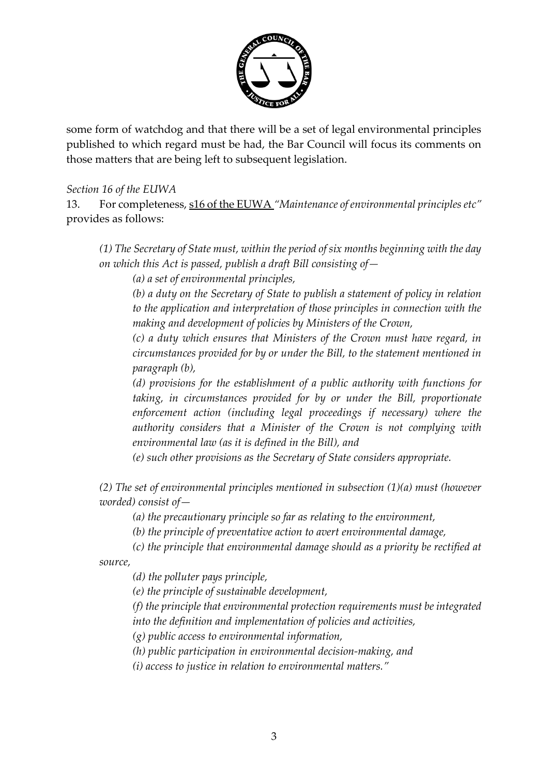

some form of watchdog and that there will be a set of legal environmental principles published to which regard must be had, the Bar Council will focus its comments on those matters that are being left to subsequent legislation.

#### *Section 16 of the EUWA*

13. For completeness, s16 of the EUWA *"Maintenance of environmental principles etc"* provides as follows:

*(1) The Secretary of State must, within the period of six months beginning with the day on which this Act is passed, publish a draft Bill consisting of—*

*(a) a set of environmental principles,*

*(b) a duty on the Secretary of State to publish a statement of policy in relation to the application and interpretation of those principles in connection with the making and development of policies by Ministers of the Crown,*

*(c) a duty which ensures that Ministers of the Crown must have regard, in circumstances provided for by or under the Bill, to the statement mentioned in paragraph (b),*

*(d) provisions for the establishment of a public authority with functions for taking, in circumstances provided for by or under the Bill, proportionate enforcement action (including legal proceedings if necessary) where the authority considers that a Minister of the Crown is not complying with environmental law (as it is defined in the Bill), and*

*(e) such other provisions as the Secretary of State considers appropriate.*

*(2) The set of environmental principles mentioned in subsection (1)(a) must (however worded) consist of—*

*(a) the precautionary principle so far as relating to the environment,*

*(b) the principle of preventative action to avert environmental damage,*

*(c) the principle that environmental damage should as a priority be rectified at source,*

*(d) the polluter pays principle,*

*(e) the principle of sustainable development,*

*(f) the principle that environmental protection requirements must be integrated into the definition and implementation of policies and activities,*

*(g) public access to environmental information,*

*(h) public participation in environmental decision-making, and*

*(i) access to justice in relation to environmental matters."*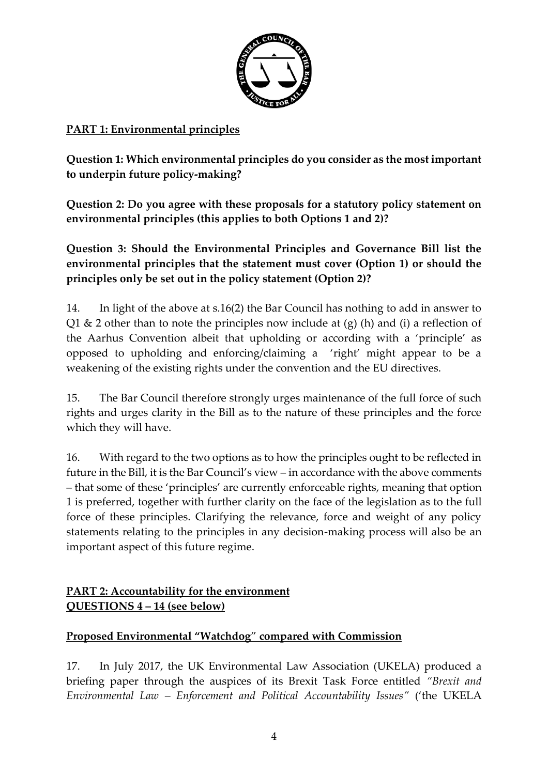

#### **PART 1: Environmental principles**

**Question 1: Which environmental principles do you consider as the most important to underpin future policy-making?** 

**Question 2: Do you agree with these proposals for a statutory policy statement on environmental principles (this applies to both Options 1 and 2)?**

**Question 3: Should the Environmental Principles and Governance Bill list the environmental principles that the statement must cover (Option 1) or should the principles only be set out in the policy statement (Option 2)?**

14. In light of the above at s.16(2) the Bar Council has nothing to add in answer to Q1  $\&$  2 other than to note the principles now include at (g) (h) and (i) a reflection of the Aarhus Convention albeit that upholding or according with a 'principle' as opposed to upholding and enforcing/claiming a 'right' might appear to be a weakening of the existing rights under the convention and the EU directives.

15. The Bar Council therefore strongly urges maintenance of the full force of such rights and urges clarity in the Bill as to the nature of these principles and the force which they will have.

16. With regard to the two options as to how the principles ought to be reflected in future in the Bill, it is the Bar Council's view – in accordance with the above comments – that some of these 'principles' are currently enforceable rights, meaning that option 1 is preferred, together with further clarity on the face of the legislation as to the full force of these principles. Clarifying the relevance, force and weight of any policy statements relating to the principles in any decision-making process will also be an important aspect of this future regime.

# **PART 2: Accountability for the environment QUESTIONS 4 – 14 (see below)**

#### **Proposed Environmental "Watchdog**" **compared with Commission**

17. In July 2017, the UK Environmental Law Association (UKELA) produced a briefing paper through the auspices of its Brexit Task Force entitled *"Brexit and Environmental Law – Enforcement and Political Accountability Issues"* ('the UKELA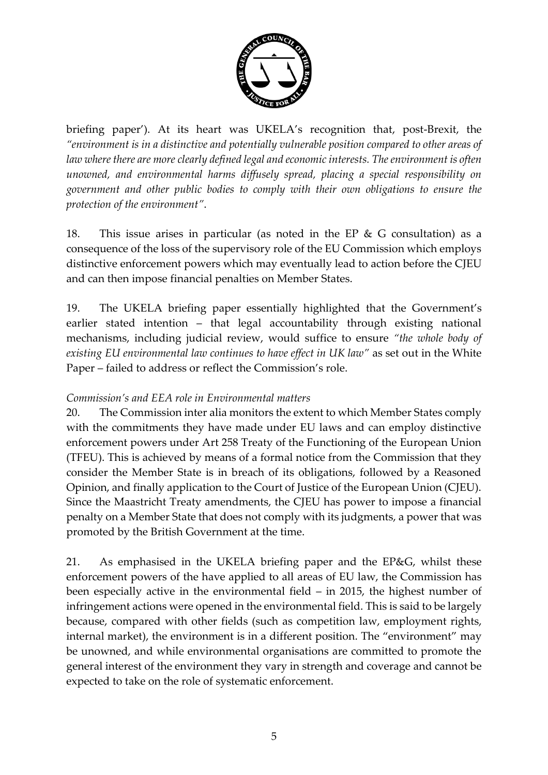

briefing paper'). At its heart was UKELA's recognition that, post-Brexit, the *"environment is in a distinctive and potentially vulnerable position compared to other areas of law where there are more clearly defined legal and economic interests. The environment is often unowned, and environmental harms diffusely spread, placing a special responsibility on government and other public bodies to comply with their own obligations to ensure the protection of the environment"*.

18. This issue arises in particular (as noted in the EP & G consultation) as a consequence of the loss of the supervisory role of the EU Commission which employs distinctive enforcement powers which may eventually lead to action before the CJEU and can then impose financial penalties on Member States.

19. The UKELA briefing paper essentially highlighted that the Government's earlier stated intention – that legal accountability through existing national mechanisms, including judicial review, would suffice to ensure *"the whole body of existing EU environmental law continues to have effect in UK law"* as set out in the White Paper – failed to address or reflect the Commission's role.

#### *Commission's and EEA role in Environmental matters*

20. The Commission inter alia monitors the extent to which Member States comply with the commitments they have made under EU laws and can employ distinctive enforcement powers under Art 258 Treaty of the Functioning of the European Union (TFEU). This is achieved by means of a formal notice from the Commission that they consider the Member State is in breach of its obligations, followed by a Reasoned Opinion, and finally application to the Court of Justice of the European Union (CJEU). Since the Maastricht Treaty amendments, the CJEU has power to impose a financial penalty on a Member State that does not comply with its judgments, a power that was promoted by the British Government at the time.

21. As emphasised in the UKELA briefing paper and the EP&G, whilst these enforcement powers of the have applied to all areas of EU law, the Commission has been especially active in the environmental field – in 2015, the highest number of infringement actions were opened in the environmental field. This is said to be largely because, compared with other fields (such as competition law, employment rights, internal market), the environment is in a different position. The "environment" may be unowned, and while environmental organisations are committed to promote the general interest of the environment they vary in strength and coverage and cannot be expected to take on the role of systematic enforcement.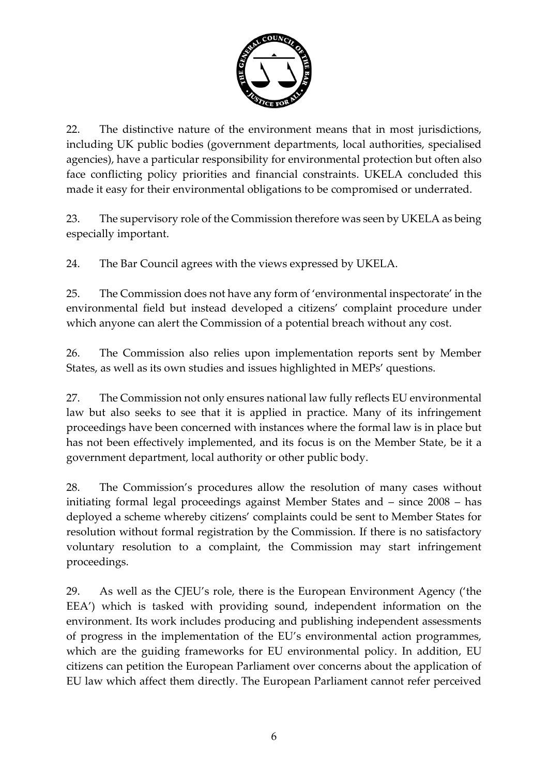

22. The distinctive nature of the environment means that in most jurisdictions, including UK public bodies (government departments, local authorities, specialised agencies), have a particular responsibility for environmental protection but often also face conflicting policy priorities and financial constraints. UKELA concluded this made it easy for their environmental obligations to be compromised or underrated.

23. The supervisory role of the Commission therefore was seen by UKELA as being especially important.

24. The Bar Council agrees with the views expressed by UKELA.

25. The Commission does not have any form of 'environmental inspectorate' in the environmental field but instead developed a citizens' complaint procedure under which anyone can alert the Commission of a potential breach without any cost.

26. The Commission also relies upon implementation reports sent by Member States, as well as its own studies and issues highlighted in MEPs' questions.

27. The Commission not only ensures national law fully reflects EU environmental law but also seeks to see that it is applied in practice. Many of its infringement proceedings have been concerned with instances where the formal law is in place but has not been effectively implemented, and its focus is on the Member State, be it a government department, local authority or other public body.

28. The Commission's procedures allow the resolution of many cases without initiating formal legal proceedings against Member States and – since 2008 – has deployed a scheme whereby citizens' complaints could be sent to Member States for resolution without formal registration by the Commission. If there is no satisfactory voluntary resolution to a complaint, the Commission may start infringement proceedings.

29. As well as the CJEU's role, there is the European Environment Agency ('the EEA') which is tasked with providing sound, independent information on the environment. Its work includes producing and publishing independent assessments of progress in the implementation of the EU's environmental action programmes, which are the guiding frameworks for EU environmental policy. In addition, EU citizens can petition the European Parliament over concerns about the application of EU law which affect them directly. The European Parliament cannot refer perceived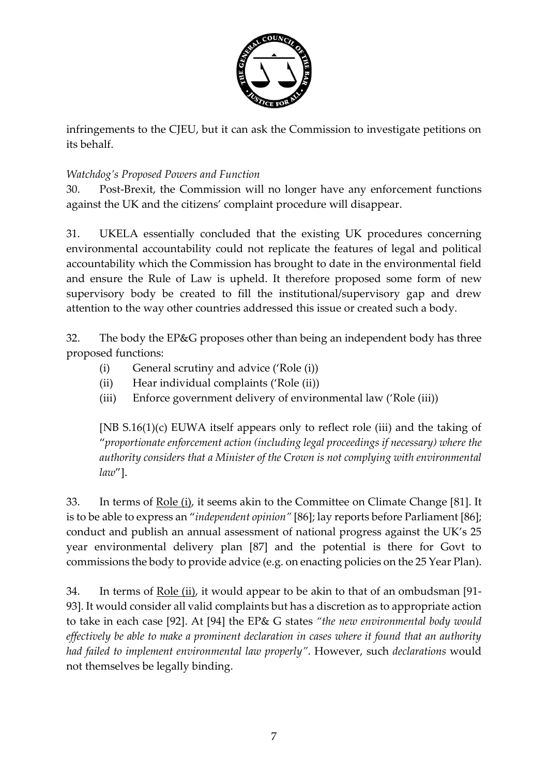

infringements to the CJEU, but it can ask the Commission to investigate petitions on its behalf.

#### *Watchdog's Proposed Powers and Function*

30. Post-Brexit, the Commission will no longer have any enforcement functions against the UK and the citizens' complaint procedure will disappear.

31. UKELA essentially concluded that the existing UK procedures concerning environmental accountability could not replicate the features of legal and political accountability which the Commission has brought to date in the environmental field and ensure the Rule of Law is upheld. It therefore proposed some form of new supervisory body be created to fill the institutional/supervisory gap and drew attention to the way other countries addressed this issue or created such a body.

32. The body the EP&G proposes other than being an independent body has three proposed functions:

- (i) General scrutiny and advice ('Role (i))
- (ii) Hear individual complaints ('Role (ii))
- (iii) Enforce government delivery of environmental law ('Role (iii))

[NB S.16(1)(c) EUWA itself appears only to reflect role (iii) and the taking of "*proportionate enforcement action (including legal proceedings if necessary) where the authority considers that a Minister of the Crown is not complying with environmental law*"].

33. In terms of Role (i), it seems akin to the Committee on Climate Change [81]. It is to be able to express an "*independent opinion"* [86]; lay reports before Parliament [86]; conduct and publish an annual assessment of national progress against the UK's 25 year environmental delivery plan [87] and the potential is there for Govt to commissions the body to provide advice (e.g. on enacting policies on the 25 Year Plan).

34. In terms of <u>Role (ii)</u>, it would appear to be akin to that of an ombudsman [91-93]. It would consider all valid complaints but has a discretion as to appropriate action to take in each case [92]. At [94] the EP& G states *"the new environmental body would effectively be able to make a prominent declaration in cases where it found that an authority had failed to implement environmental law properly"*. However, such *declarations* would not themselves be legally binding.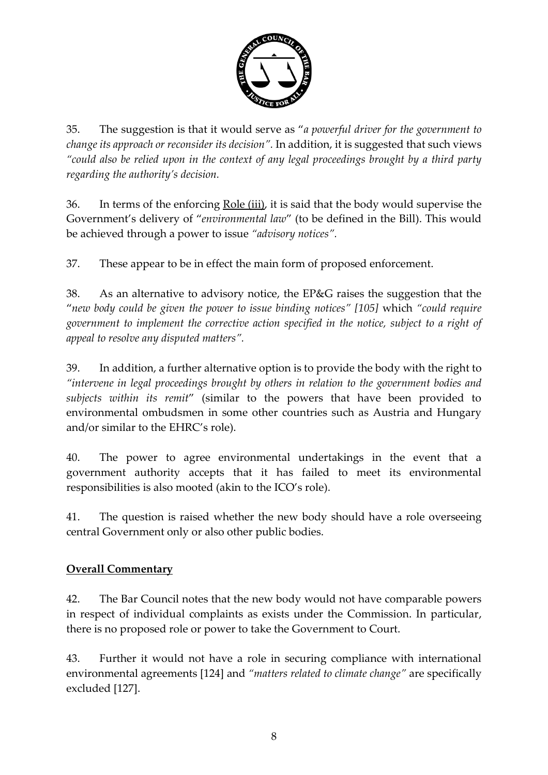

35. The suggestion is that it would serve as "*a powerful driver for the government to change its approach or reconsider its decision".* In addition, it is suggested that such views *"could also be relied upon in the context of any legal proceedings brought by a third party regarding the authority's decision.*

36. In terms of the enforcing <u>Role (iii</u>), it is said that the body would supervise the Government's delivery of "*environmental law*" (to be defined in the Bill). This would be achieved through a power to issue *"advisory notices".* 

37. These appear to be in effect the main form of proposed enforcement.

38. As an alternative to advisory notice, the EP&G raises the suggestion that the "*new body could be given the power to issue binding notices" [105]* which *"could require government to implement the corrective action specified in the notice, subject to a right of appeal to resolve any disputed matters".*

39. In addition, a further alternative option is to provide the body with the right to *"intervene in legal proceedings brought by others in relation to the government bodies and subjects within its remit*" (similar to the powers that have been provided to environmental ombudsmen in some other countries such as Austria and Hungary and/or similar to the EHRC's role).

40. The power to agree environmental undertakings in the event that a government authority accepts that it has failed to meet its environmental responsibilities is also mooted (akin to the ICO's role).

41. The question is raised whether the new body should have a role overseeing central Government only or also other public bodies.

#### **Overall Commentary**

42. The Bar Council notes that the new body would not have comparable powers in respect of individual complaints as exists under the Commission. In particular, there is no proposed role or power to take the Government to Court.

43. Further it would not have a role in securing compliance with international environmental agreements [124] and *"matters related to climate change"* are specifically excluded [127].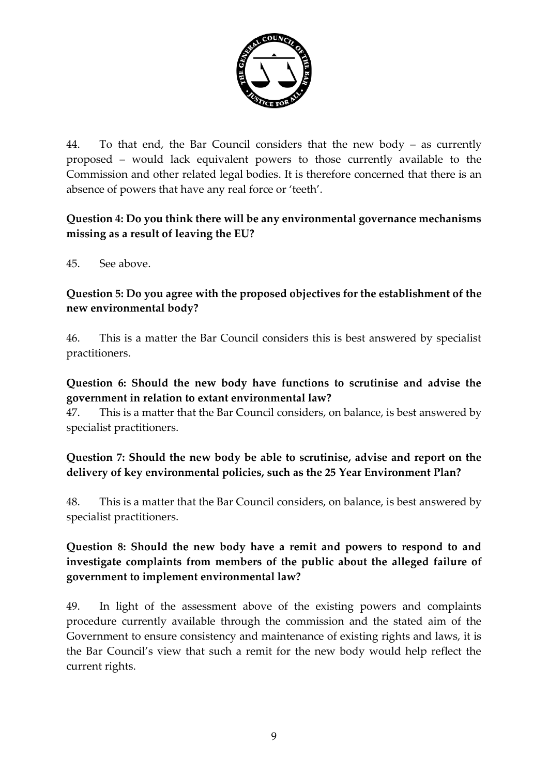

44. To that end, the Bar Council considers that the new body – as currently proposed – would lack equivalent powers to those currently available to the Commission and other related legal bodies. It is therefore concerned that there is an absence of powers that have any real force or 'teeth'.

#### **Question 4: Do you think there will be any environmental governance mechanisms missing as a result of leaving the EU?**

45. See above.

#### **Question 5: Do you agree with the proposed objectives for the establishment of the new environmental body?**

46. This is a matter the Bar Council considers this is best answered by specialist practitioners.

#### **Question 6: Should the new body have functions to scrutinise and advise the government in relation to extant environmental law?**

47. This is a matter that the Bar Council considers, on balance, is best answered by specialist practitioners.

### **Question 7: Should the new body be able to scrutinise, advise and report on the delivery of key environmental policies, such as the 25 Year Environment Plan?**

48. This is a matter that the Bar Council considers, on balance, is best answered by specialist practitioners.

### **Question 8: Should the new body have a remit and powers to respond to and investigate complaints from members of the public about the alleged failure of government to implement environmental law?**

49. In light of the assessment above of the existing powers and complaints procedure currently available through the commission and the stated aim of the Government to ensure consistency and maintenance of existing rights and laws, it is the Bar Council's view that such a remit for the new body would help reflect the current rights.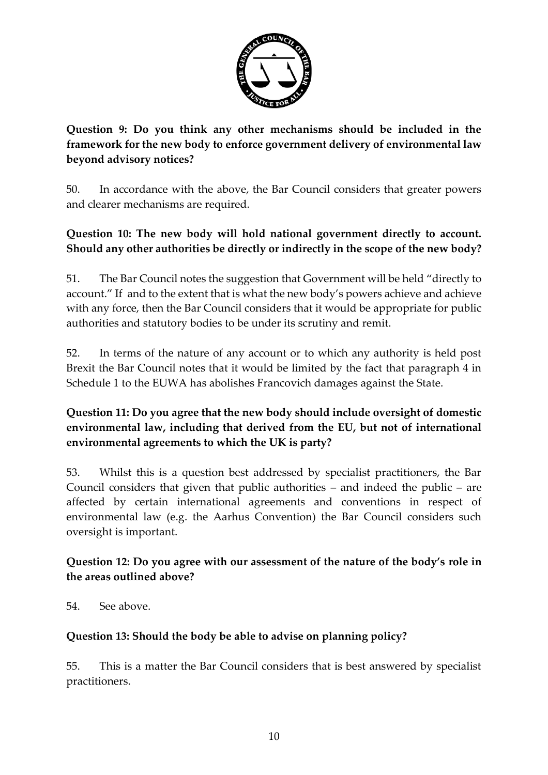

**Question 9: Do you think any other mechanisms should be included in the framework for the new body to enforce government delivery of environmental law beyond advisory notices?**

50. In accordance with the above, the Bar Council considers that greater powers and clearer mechanisms are required.

### **Question 10: The new body will hold national government directly to account. Should any other authorities be directly or indirectly in the scope of the new body?**

51. The Bar Council notes the suggestion that Government will be held "directly to account." If and to the extent that is what the new body's powers achieve and achieve with any force, then the Bar Council considers that it would be appropriate for public authorities and statutory bodies to be under its scrutiny and remit.

52. In terms of the nature of any account or to which any authority is held post Brexit the Bar Council notes that it would be limited by the fact that paragraph 4 in Schedule 1 to the EUWA has abolishes Francovich damages against the State.

### **Question 11: Do you agree that the new body should include oversight of domestic environmental law, including that derived from the EU, but not of international environmental agreements to which the UK is party?**

53. Whilst this is a question best addressed by specialist practitioners, the Bar Council considers that given that public authorities – and indeed the public – are affected by certain international agreements and conventions in respect of environmental law (e.g. the Aarhus Convention) the Bar Council considers such oversight is important.

### **Question 12: Do you agree with our assessment of the nature of the body's role in the areas outlined above?**

54. See above.

#### **Question 13: Should the body be able to advise on planning policy?**

55. This is a matter the Bar Council considers that is best answered by specialist practitioners.